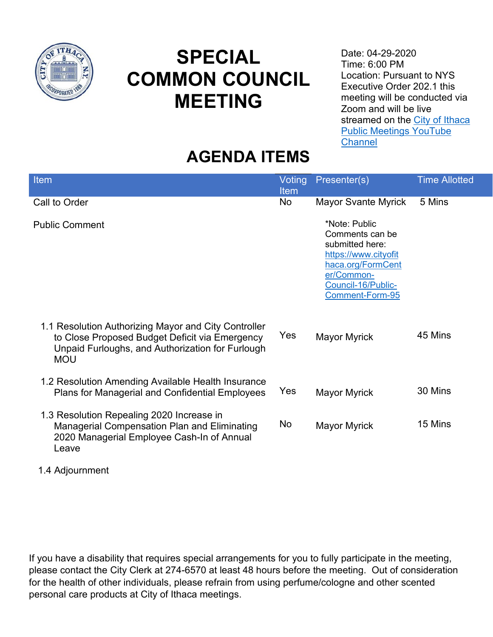

# **SPECIAL COMMON COUNCIL MEETING**

Date: 04-29-2020 Time: 6:00 PM Location: Pursuant to NYS Executive Order 202.1 this meeting will be conducted via Zoom and will be live streamed on the City of Ithaca [Public Meetings YouTube](https://www.youtube.com/channel/UC7RtJN1P_RFaFW2IVCnTrDg)  **[Channel](https://www.youtube.com/channel/UC7RtJN1P_RFaFW2IVCnTrDg)** 

# **AGENDA ITEMS**

| <b>Item</b>                                                                                                                                                              | Voting<br><b>Item</b> | Presenter(s)                                                                                                                                            | <b>Time Allotted</b> |
|--------------------------------------------------------------------------------------------------------------------------------------------------------------------------|-----------------------|---------------------------------------------------------------------------------------------------------------------------------------------------------|----------------------|
| Call to Order                                                                                                                                                            | No                    | <b>Mayor Svante Myrick</b>                                                                                                                              | 5 Mins               |
| <b>Public Comment</b>                                                                                                                                                    |                       | *Note: Public<br>Comments can be<br>submitted here:<br>https://www.cityofit<br>haca.org/FormCent<br>er/Common-<br>Council-16/Public-<br>Comment-Form-95 |                      |
| 1.1 Resolution Authorizing Mayor and City Controller<br>to Close Proposed Budget Deficit via Emergency<br>Unpaid Furloughs, and Authorization for Furlough<br><b>MOU</b> | Yes                   | <b>Mayor Myrick</b>                                                                                                                                     | 45 Mins              |
| 1.2 Resolution Amending Available Health Insurance<br><b>Plans for Managerial and Confidential Employees</b>                                                             | Yes                   | <b>Mayor Myrick</b>                                                                                                                                     | 30 Mins              |
| 1.3 Resolution Repealing 2020 Increase in<br><b>Managerial Compensation Plan and Eliminating</b><br>2020 Managerial Employee Cash-In of Annual<br>Leave                  | No                    | <b>Mayor Myrick</b>                                                                                                                                     | 15 Mins              |

1.4 Adjournment

If you have a disability that requires special arrangements for you to fully participate in the meeting, please contact the City Clerk at 274-6570 at least 48 hours before the meeting. Out of consideration for the health of other individuals, please refrain from using perfume/cologne and other scented personal care products at City of Ithaca meetings.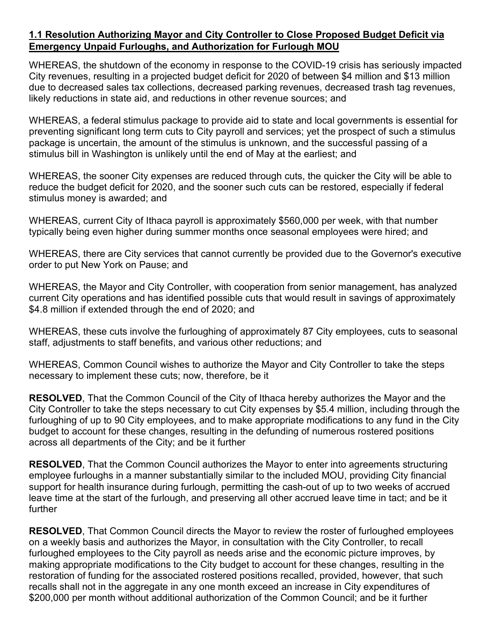## **1.1 Resolution Authorizing Mayor and City Controller to Close Proposed Budget Deficit via Emergency Unpaid Furloughs, and Authorization for Furlough MOU**

WHEREAS, the shutdown of the economy in response to the COVID-19 crisis has seriously impacted City revenues, resulting in a projected budget deficit for 2020 of between \$4 million and \$13 million due to decreased sales tax collections, decreased parking revenues, decreased trash tag revenues, likely reductions in state aid, and reductions in other revenue sources; and

WHEREAS, a federal stimulus package to provide aid to state and local governments is essential for preventing significant long term cuts to City payroll and services; yet the prospect of such a stimulus package is uncertain, the amount of the stimulus is unknown, and the successful passing of a stimulus bill in Washington is unlikely until the end of May at the earliest; and

WHEREAS, the sooner City expenses are reduced through cuts, the quicker the City will be able to reduce the budget deficit for 2020, and the sooner such cuts can be restored, especially if federal stimulus money is awarded; and

WHEREAS, current City of Ithaca payroll is approximately \$560,000 per week, with that number typically being even higher during summer months once seasonal employees were hired; and

WHEREAS, there are City services that cannot currently be provided due to the Governor's executive order to put New York on Pause; and

WHEREAS, the Mayor and City Controller, with cooperation from senior management, has analyzed current City operations and has identified possible cuts that would result in savings of approximately \$4.8 million if extended through the end of 2020; and

WHEREAS, these cuts involve the furloughing of approximately 87 City employees, cuts to seasonal staff, adjustments to staff benefits, and various other reductions; and

WHEREAS, Common Council wishes to authorize the Mayor and City Controller to take the steps necessary to implement these cuts; now, therefore, be it

**RESOLVED**, That the Common Council of the City of Ithaca hereby authorizes the Mayor and the City Controller to take the steps necessary to cut City expenses by \$5.4 million, including through the furloughing of up to 90 City employees, and to make appropriate modifications to any fund in the City budget to account for these changes, resulting in the defunding of numerous rostered positions across all departments of the City; and be it further

**RESOLVED**, That the Common Council authorizes the Mayor to enter into agreements structuring employee furloughs in a manner substantially similar to the included MOU, providing City financial support for health insurance during furlough, permitting the cash-out of up to two weeks of accrued leave time at the start of the furlough, and preserving all other accrued leave time in tact; and be it further

**RESOLVED**, That Common Council directs the Mayor to review the roster of furloughed employees on a weekly basis and authorizes the Mayor, in consultation with the City Controller, to recall furloughed employees to the City payroll as needs arise and the economic picture improves, by making appropriate modifications to the City budget to account for these changes, resulting in the restoration of funding for the associated rostered positions recalled, provided, however, that such recalls shall not in the aggregate in any one month exceed an increase in City expenditures of \$200,000 per month without additional authorization of the Common Council; and be it further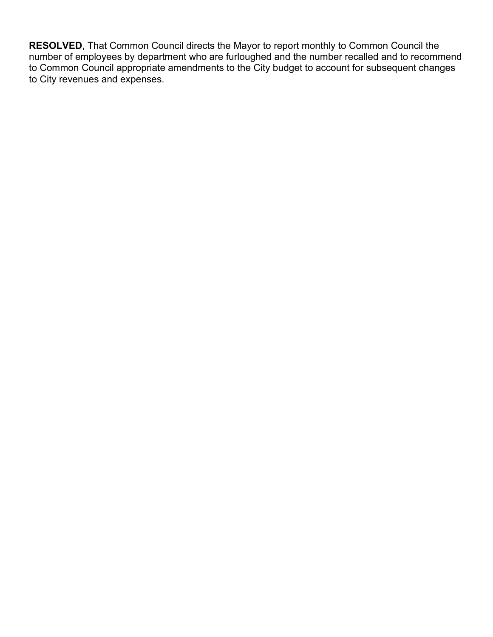**RESOLVED**, That Common Council directs the Mayor to report monthly to Common Council the number of employees by department who are furloughed and the number recalled and to recommend to Common Council appropriate amendments to the City budget to account for subsequent changes to City revenues and expenses.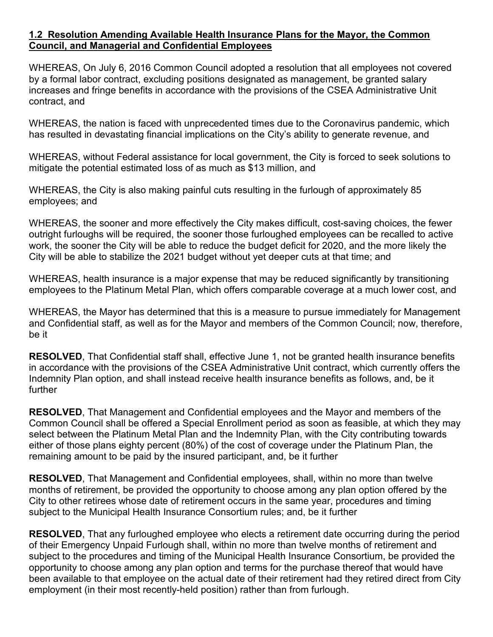### **1.2 Resolution Amending Available Health Insurance Plans for the Mayor, the Common Council, and Managerial and Confidential Employees**

WHEREAS, On July 6, 2016 Common Council adopted a resolution that all employees not covered by a formal labor contract, excluding positions designated as management, be granted salary increases and fringe benefits in accordance with the provisions of the CSEA Administrative Unit contract, and

WHEREAS, the nation is faced with unprecedented times due to the Coronavirus pandemic, which has resulted in devastating financial implications on the City's ability to generate revenue, and

WHEREAS, without Federal assistance for local government, the City is forced to seek solutions to mitigate the potential estimated loss of as much as \$13 million, and

WHEREAS, the City is also making painful cuts resulting in the furlough of approximately 85 employees; and

WHEREAS, the sooner and more effectively the City makes difficult, cost-saving choices, the fewer outright furloughs will be required, the sooner those furloughed employees can be recalled to active work, the sooner the City will be able to reduce the budget deficit for 2020, and the more likely the City will be able to stabilize the 2021 budget without yet deeper cuts at that time; and

WHEREAS, health insurance is a major expense that may be reduced significantly by transitioning employees to the Platinum Metal Plan, which offers comparable coverage at a much lower cost, and

WHEREAS, the Mayor has determined that this is a measure to pursue immediately for Management and Confidential staff, as well as for the Mayor and members of the Common Council; now, therefore, be it

**RESOLVED**, That Confidential staff shall, effective June 1, not be granted health insurance benefits in accordance with the provisions of the CSEA Administrative Unit contract, which currently offers the Indemnity Plan option, and shall instead receive health insurance benefits as follows, and, be it further

**RESOLVED**, That Management and Confidential employees and the Mayor and members of the Common Council shall be offered a Special Enrollment period as soon as feasible, at which they may select between the Platinum Metal Plan and the Indemnity Plan, with the City contributing towards either of those plans eighty percent (80%) of the cost of coverage under the Platinum Plan, the remaining amount to be paid by the insured participant, and, be it further

**RESOLVED**, That Management and Confidential employees, shall, within no more than twelve months of retirement, be provided the opportunity to choose among any plan option offered by the City to other retirees whose date of retirement occurs in the same year, procedures and timing subject to the Municipal Health Insurance Consortium rules; and, be it further

**RESOLVED**, That any furloughed employee who elects a retirement date occurring during the period of their Emergency Unpaid Furlough shall, within no more than twelve months of retirement and subject to the procedures and timing of the Municipal Health Insurance Consortium, be provided the opportunity to choose among any plan option and terms for the purchase thereof that would have been available to that employee on the actual date of their retirement had they retired direct from City employment (in their most recently-held position) rather than from furlough.